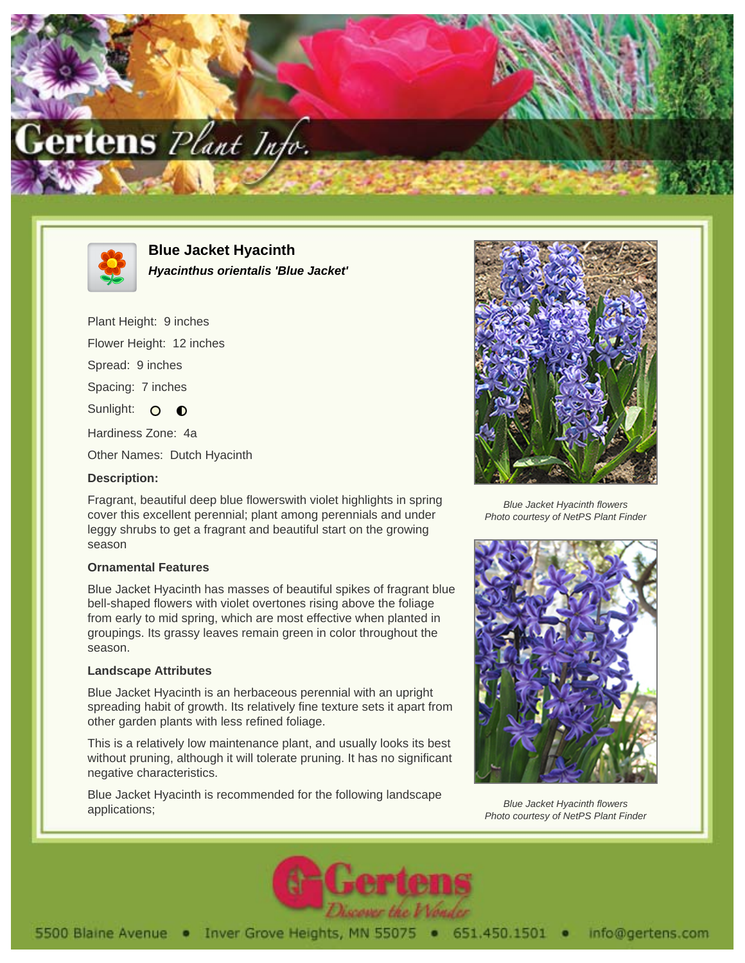



**Blue Jacket Hyacinth Hyacinthus orientalis 'Blue Jacket'**

Plant Height: 9 inches Flower Height: 12 inches Spread: 9 inches Spacing: 7 inches Sunlight: O **O** Hardiness Zone: 4a Other Names: Dutch Hyacinth

**Description:**

Fragrant, beautiful deep blue flowerswith violet highlights in spring cover this excellent perennial; plant among perennials and under leggy shrubs to get a fragrant and beautiful start on the growing season

## **Ornamental Features**

Blue Jacket Hyacinth has masses of beautiful spikes of fragrant blue bell-shaped flowers with violet overtones rising above the foliage from early to mid spring, which are most effective when planted in groupings. Its grassy leaves remain green in color throughout the season.

## **Landscape Attributes**

Blue Jacket Hyacinth is an herbaceous perennial with an upright spreading habit of growth. Its relatively fine texture sets it apart from other garden plants with less refined foliage.

This is a relatively low maintenance plant, and usually looks its best without pruning, although it will tolerate pruning. It has no significant negative characteristics.

Blue Jacket Hyacinth is recommended for the following landscape applications;



Blue Jacket Hyacinth flowers Photo courtesy of NetPS Plant Finder



Blue Jacket Hyacinth flowers Photo courtesy of NetPS Plant Finder